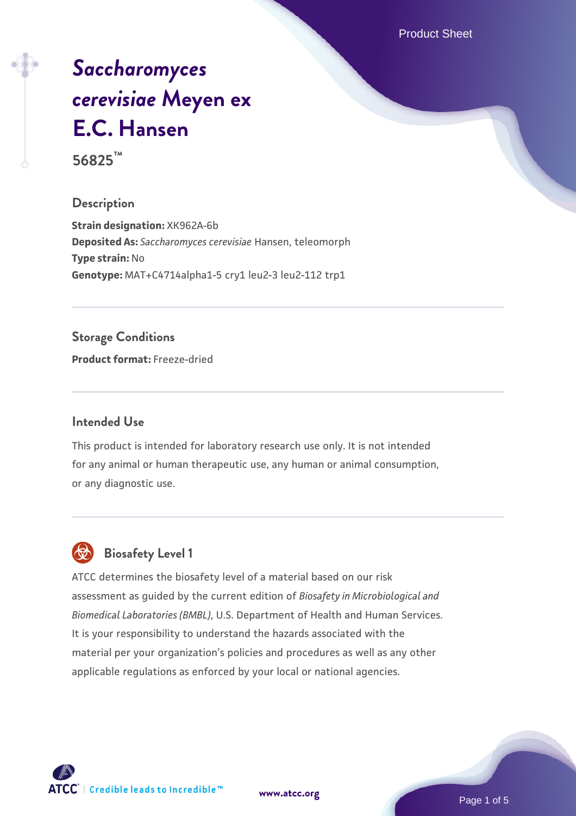Product Sheet

# *[Saccharomyces](https://www.atcc.org/products/56825) [cerevisiae](https://www.atcc.org/products/56825)* **[Meyen ex](https://www.atcc.org/products/56825) [E.C. Hansen](https://www.atcc.org/products/56825)**

**56825™**

#### **Description**

**Strain designation:** XK962A-6b **Deposited As:** *Saccharomyces cerevisiae* Hansen, teleomorph **Type strain:** No **Genotype:** MAT+C4714alpha1-5 cry1 leu2-3 leu2-112 trp1

#### **Storage Conditions**

**Product format:** Freeze-dried

#### **Intended Use**

This product is intended for laboratory research use only. It is not intended for any animal or human therapeutic use, any human or animal consumption, or any diagnostic use.



### **Biosafety Level 1**

ATCC determines the biosafety level of a material based on our risk assessment as guided by the current edition of *Biosafety in Microbiological and Biomedical Laboratories (BMBL)*, U.S. Department of Health and Human Services. It is your responsibility to understand the hazards associated with the material per your organization's policies and procedures as well as any other applicable regulations as enforced by your local or national agencies.

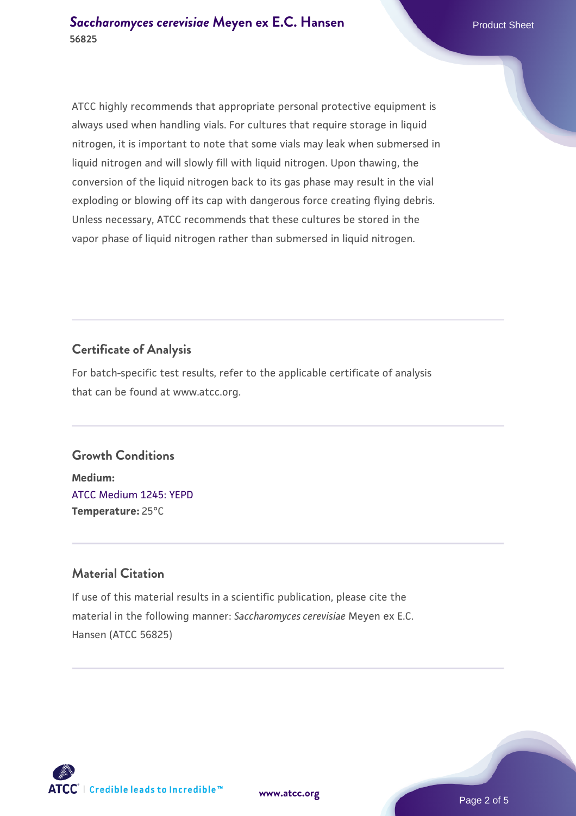ATCC highly recommends that appropriate personal protective equipment is always used when handling vials. For cultures that require storage in liquid nitrogen, it is important to note that some vials may leak when submersed in liquid nitrogen and will slowly fill with liquid nitrogen. Upon thawing, the conversion of the liquid nitrogen back to its gas phase may result in the vial exploding or blowing off its cap with dangerous force creating flying debris. Unless necessary, ATCC recommends that these cultures be stored in the vapor phase of liquid nitrogen rather than submersed in liquid nitrogen.

#### **Certificate of Analysis**

For batch-specific test results, refer to the applicable certificate of analysis that can be found at www.atcc.org.

#### **Growth Conditions**

**Medium:**  [ATCC Medium 1245: YEPD](https://www.atcc.org/-/media/product-assets/documents/microbial-media-formulations/1/2/4/5/atcc-medium-1245.pdf?rev=705ca55d1b6f490a808a965d5c072196) **Temperature:** 25°C

#### **Material Citation**

If use of this material results in a scientific publication, please cite the material in the following manner: *Saccharomyces cerevisiae* Meyen ex E.C. Hansen (ATCC 56825)

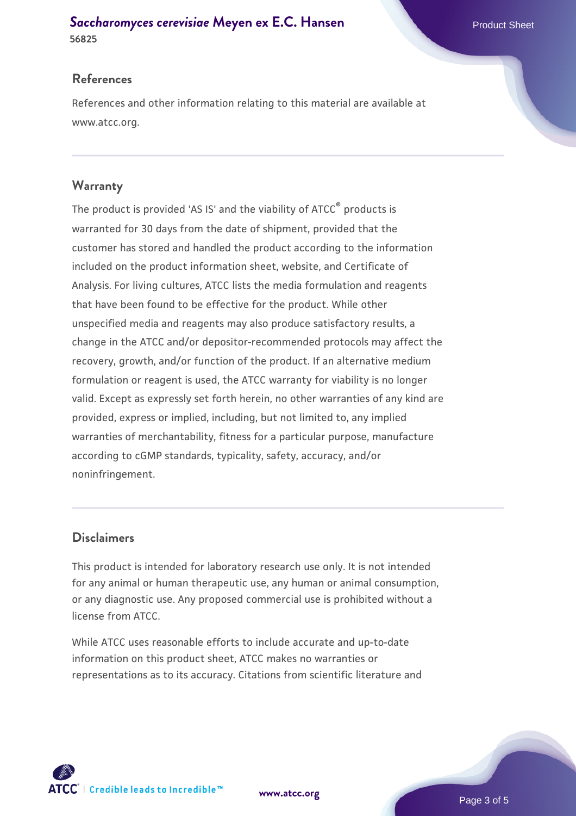#### **[Saccharomyces cerevisiae](https://www.atcc.org/products/56825)** [Meyen ex E.C. Hansen](https://www.atcc.org/products/56825) **56825**

#### **References**

References and other information relating to this material are available at www.atcc.org.

#### **Warranty**

The product is provided 'AS IS' and the viability of ATCC® products is warranted for 30 days from the date of shipment, provided that the customer has stored and handled the product according to the information included on the product information sheet, website, and Certificate of Analysis. For living cultures, ATCC lists the media formulation and reagents that have been found to be effective for the product. While other unspecified media and reagents may also produce satisfactory results, a change in the ATCC and/or depositor-recommended protocols may affect the recovery, growth, and/or function of the product. If an alternative medium formulation or reagent is used, the ATCC warranty for viability is no longer valid. Except as expressly set forth herein, no other warranties of any kind are provided, express or implied, including, but not limited to, any implied warranties of merchantability, fitness for a particular purpose, manufacture according to cGMP standards, typicality, safety, accuracy, and/or noninfringement.

#### **Disclaimers**

This product is intended for laboratory research use only. It is not intended for any animal or human therapeutic use, any human or animal consumption, or any diagnostic use. Any proposed commercial use is prohibited without a license from ATCC.

While ATCC uses reasonable efforts to include accurate and up-to-date information on this product sheet, ATCC makes no warranties or representations as to its accuracy. Citations from scientific literature and



**[www.atcc.org](http://www.atcc.org)**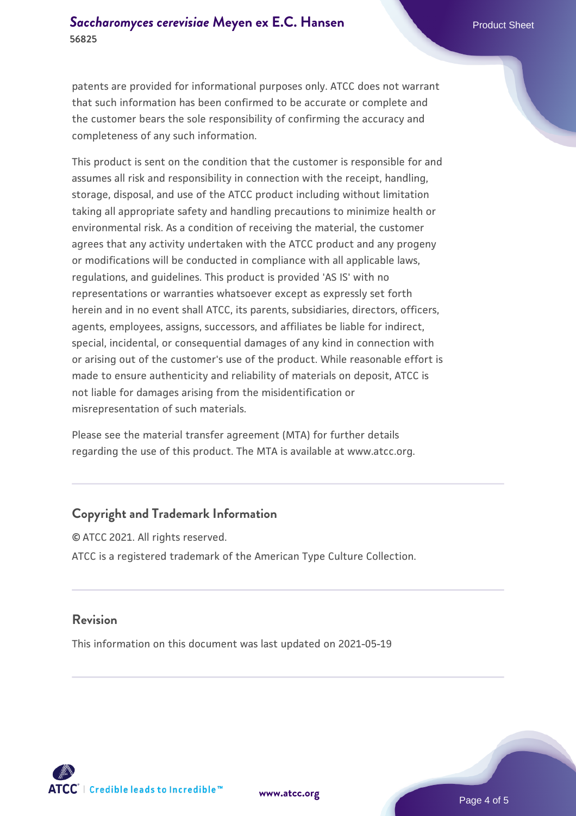patents are provided for informational purposes only. ATCC does not warrant that such information has been confirmed to be accurate or complete and the customer bears the sole responsibility of confirming the accuracy and completeness of any such information.

This product is sent on the condition that the customer is responsible for and assumes all risk and responsibility in connection with the receipt, handling, storage, disposal, and use of the ATCC product including without limitation taking all appropriate safety and handling precautions to minimize health or environmental risk. As a condition of receiving the material, the customer agrees that any activity undertaken with the ATCC product and any progeny or modifications will be conducted in compliance with all applicable laws, regulations, and guidelines. This product is provided 'AS IS' with no representations or warranties whatsoever except as expressly set forth herein and in no event shall ATCC, its parents, subsidiaries, directors, officers, agents, employees, assigns, successors, and affiliates be liable for indirect, special, incidental, or consequential damages of any kind in connection with or arising out of the customer's use of the product. While reasonable effort is made to ensure authenticity and reliability of materials on deposit, ATCC is not liable for damages arising from the misidentification or misrepresentation of such materials.

Please see the material transfer agreement (MTA) for further details regarding the use of this product. The MTA is available at www.atcc.org.

#### **Copyright and Trademark Information**

© ATCC 2021. All rights reserved. ATCC is a registered trademark of the American Type Culture Collection.

#### **Revision**

This information on this document was last updated on 2021-05-19



**[www.atcc.org](http://www.atcc.org)**

Page 4 of 5